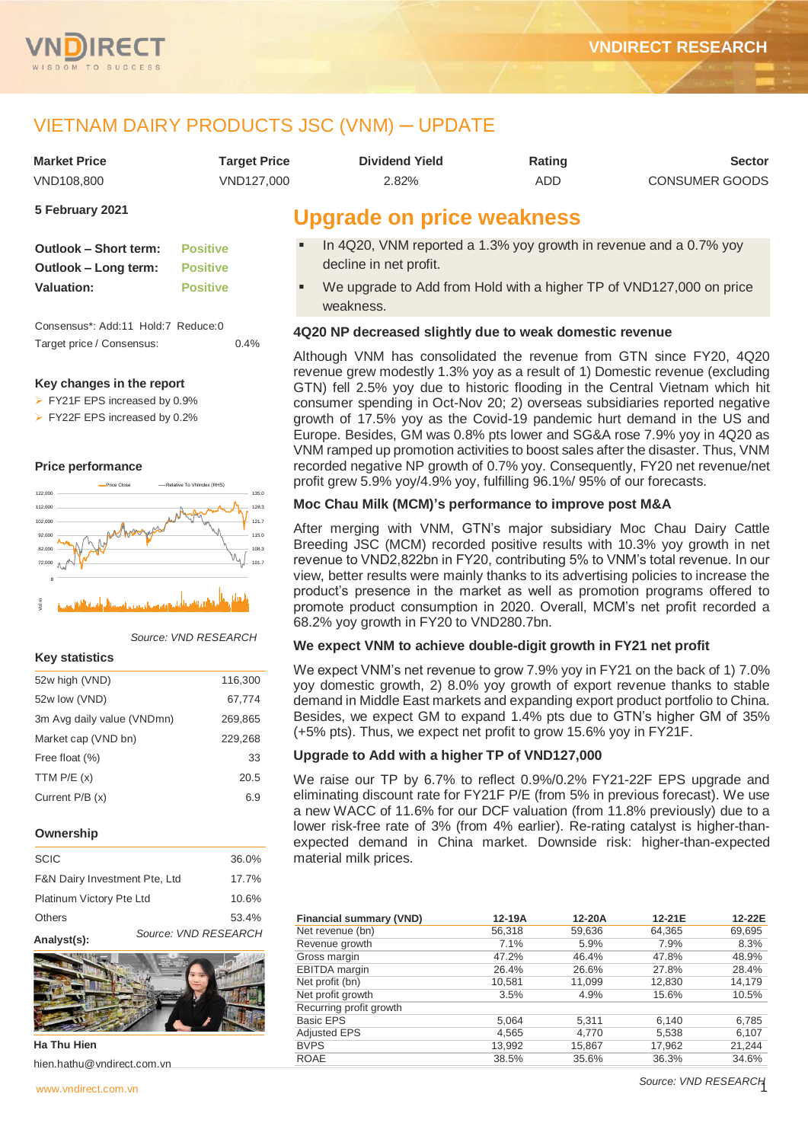

# VIETNAM DAIRY PRODUCTS JSC (VNM) ─ UPDATE

| Market Price | Tarqet Price | Dividend Yield | Rating | <b>Sector</b>  |
|--------------|--------------|----------------|--------|----------------|
| VND108.800   | VND127,000   | 2.82%          | ADD    | CONSUMER GOODS |

**5 February 2021**

| Outlook – Short term: | <b>Positive</b> |
|-----------------------|-----------------|
| Outlook - Long term:  | <b>Positive</b> |
| <b>Valuation:</b>     | <b>Positive</b> |

Consensus\*: Add:11 Hold:7 Reduce:0 Target price / Consensus: 0.4%

## **Key changes in the report**

- FY21F EPS increased by 0.9%
- FY22F EPS increased by 0.2%

## **Price performance**



### *Source: VND RESEARCH*

### **Key statistics**

| 52w high (VND)             | 116,300 |
|----------------------------|---------|
| 52w low (VND)              | 67,774  |
| 3m Avg daily value (VNDmn) | 269,865 |
| Market cap (VND bn)        | 229,268 |
| Free float (%)             | 33      |
| TTM $P/E(x)$               | 20.5    |
| Current P/B (x)            | 6.9     |
|                            |         |

### **Ownership**

| <b>SCIC</b>                   | 36.0%                |       |
|-------------------------------|----------------------|-------|
| F&N Dairy Investment Pte, Ltd | 17.7%                |       |
| Platinum Victory Pte Ltd      | 10.6%                |       |
| <b>Others</b>                 |                      | 53.4% |
|                               | Source: VND RESEARCH |       |

### **Analyst(s):**



**Ha Thu Hien** hien.hathu@vndirect.com.vn

# **Upgrade on price weakness**

- In 4Q20, VNM reported a 1.3% yoy growth in revenue and a 0.7% yoy decline in net profit.
- We upgrade to Add from Hold with a higher TP of VND127,000 on price weakness.

## **4Q20 NP decreased slightly due to weak domestic revenue**

Although VNM has consolidated the revenue from GTN since FY20, 4Q20 revenue grew modestly 1.3% yoy as a result of 1) Domestic revenue (excluding GTN) fell 2.5% yoy due to historic flooding in the Central Vietnam which hit consumer spending in Oct-Nov 20; 2) overseas subsidiaries reported negative growth of 17.5% yoy as the Covid-19 pandemic hurt demand in the US and Europe. Besides, GM was 0.8% pts lower and SG&A rose 7.9% yoy in 4Q20 as VNM ramped up promotion activities to boost sales after the disaster. Thus, VNM recorded negative NP growth of 0.7% yoy. Consequently, FY20 net revenue/net profit grew 5.9% yoy/4.9% yoy, fulfilling 96.1%/ 95% of our forecasts.

## **Moc Chau Milk (MCM)'s performance to improve post M&A**

After merging with VNM, GTN's major subsidiary Moc Chau Dairy Cattle Breeding JSC (MCM) recorded positive results with 10.3% yoy growth in net revenue to VND2,822bn in FY20, contributing 5% to VNM's total revenue. In our view, better results were mainly thanks to its advertising policies to increase the product's presence in the market as well as promotion programs offered to promote product consumption in 2020. Overall, MCM's net profit recorded a 68.2% yoy growth in FY20 to VND280.7bn.

## **We expect VNM to achieve double-digit growth in FY21 net profit**

We expect VNM's net revenue to grow 7.9% yoy in FY21 on the back of 1) 7.0% yoy domestic growth, 2) 8.0% yoy growth of export revenue thanks to stable demand in Middle East markets and expanding export product portfolio to China. Besides, we expect GM to expand 1.4% pts due to GTN's higher GM of 35% (+5% pts). Thus, we expect net profit to grow 15.6% yoy in FY21F.

## **Upgrade to Add with a higher TP of VND127,000**

We raise our TP by 6.7% to reflect 0.9%/0.2% FY21-22F EPS upgrade and eliminating discount rate for FY21F P/E (from 5% in previous forecast). We use a new WACC of 11.6% for our DCF valuation (from 11.8% previously) due to a lower risk-free rate of 3% (from 4% earlier). Re-rating catalyst is higher-thanexpected demand in China market. Downside risk: higher-than-expected material milk prices.

| <b>Financial summary (VND)</b> | 12-19A | 12-20A | 12-21E | 12-22E |
|--------------------------------|--------|--------|--------|--------|
| Net revenue (bn)               | 56.318 | 59,636 | 64,365 | 69,695 |
| Revenue growth                 | 7.1%   | 5.9%   | 7.9%   | 8.3%   |
| Gross margin                   | 47.2%  | 46.4%  | 47.8%  | 48.9%  |
| <b>EBITDA</b> margin           | 26.4%  | 26.6%  | 27.8%  | 28.4%  |
| Net profit (bn)                | 10,581 | 11,099 | 12,830 | 14,179 |
| Net profit growth              | 3.5%   | 4.9%   | 15.6%  | 10.5%  |
| Recurring profit growth        |        |        |        |        |
| <b>Basic EPS</b>               | 5,064  | 5,311  | 6,140  | 6,785  |
| <b>Adjusted EPS</b>            | 4.565  | 4.770  | 5,538  | 6,107  |
| <b>BVPS</b>                    | 13,992 | 15,867 | 17,962 | 21,244 |
| <b>ROAE</b>                    | 38.5%  | 35.6%  | 36.3%  | 34.6%  |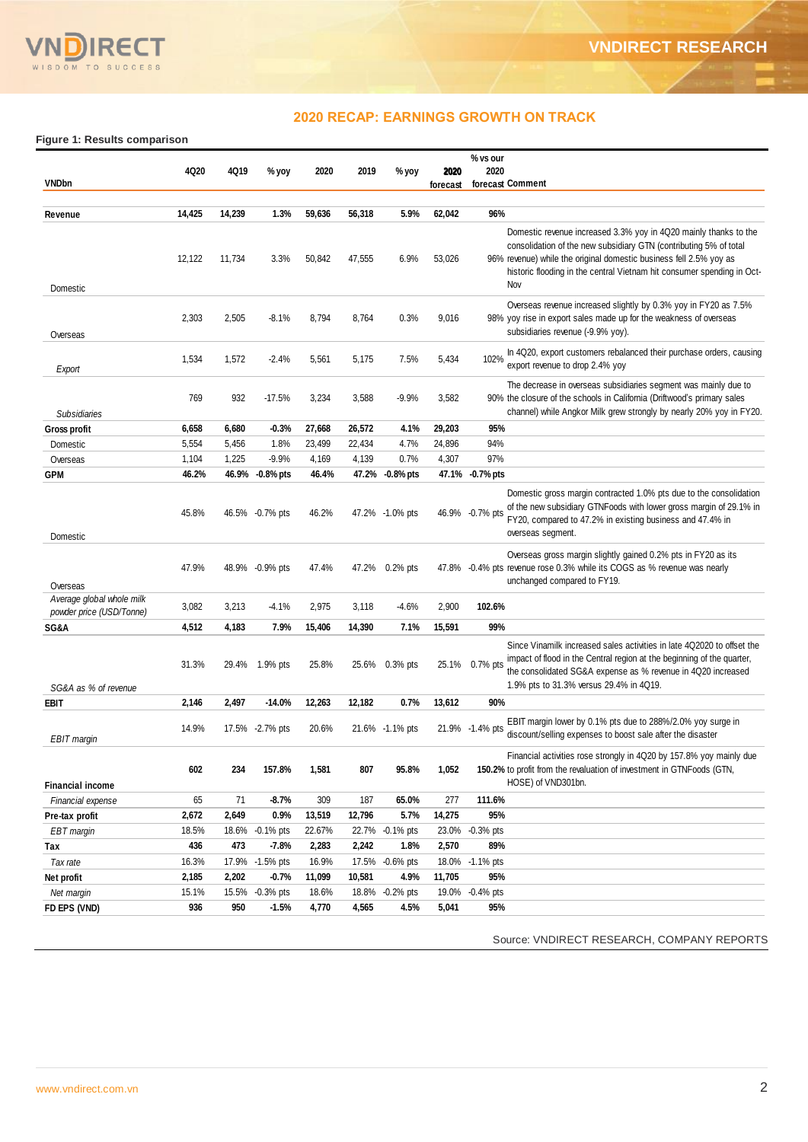

## **2020 RECAP: EARNINGS GROWTH ON TRACK**

**Figure 1: Results comparison**

|                                                       | 4Q20   | 4Q19   |                 | 2020   | 2019   |                 |                  | % vs our<br>2020                                                                                                                                                                                                                                                                             |
|-------------------------------------------------------|--------|--------|-----------------|--------|--------|-----------------|------------------|----------------------------------------------------------------------------------------------------------------------------------------------------------------------------------------------------------------------------------------------------------------------------------------------|
| <b>VNDbn</b>                                          |        |        | % yoy           |        |        | % yoy           | 2020<br>forecast | forecast Comment                                                                                                                                                                                                                                                                             |
|                                                       |        |        |                 |        |        |                 |                  |                                                                                                                                                                                                                                                                                              |
| Revenue                                               | 14,425 | 14,239 | 1.3%            | 59,636 | 56,318 | 5.9%            | 62,042           | 96%                                                                                                                                                                                                                                                                                          |
| Domestic                                              | 12,122 | 11,734 | 3.3%            | 50,842 | 47,555 | 6.9%            | 53,026           | Domestic revenue increased 3.3% yoy in 4Q20 mainly thanks to the<br>consolidation of the new subsidiary GTN (contributing 5% of total<br>96% revenue) while the original domestic business fell 2.5% yoy as<br>historic flooding in the central Vietnam hit consumer spending in Oct-<br>Nov |
| Overseas                                              | 2,303  | 2,505  | $-8.1%$         | 8,794  | 8,764  | 0.3%            | 9,016            | Overseas revenue increased slightly by 0.3% yoy in FY20 as 7.5%<br>98% yoy rise in export sales made up for the weakness of overseas<br>subsidiaries revenue (-9.9% yoy).                                                                                                                    |
| Export                                                | 1,534  | 1,572  | $-2.4%$         | 5,561  | 5,175  | 7.5%            | 5,434            | In 4Q20, export customers rebalanced their purchase orders, causing<br>102%<br>export revenue to drop 2.4% yoy                                                                                                                                                                               |
| <b>Subsidiaries</b>                                   | 769    | 932    | $-17.5%$        | 3,234  | 3,588  | $-9.9%$         | 3,582            | The decrease in overseas subsidiaries segment was mainly due to<br>90% the closure of the schools in California (Driftwood's primary sales<br>channel) while Angkor Milk grew strongly by nearly 20% yoy in FY20.                                                                            |
| <b>Gross profit</b>                                   | 6,658  | 6,680  | $-0.3%$         | 27,668 | 26,572 | 4.1%            | 29,203           | 95%                                                                                                                                                                                                                                                                                          |
| Domestic                                              | 5,554  | 5,456  | 1.8%            | 23,499 | 22,434 | 4.7%            | 24,896           | 94%                                                                                                                                                                                                                                                                                          |
| Overseas                                              | 1,104  | 1,225  | $-9.9%$         | 4,169  | 4,139  | 0.7%            | 4,307            | 97%                                                                                                                                                                                                                                                                                          |
| <b>GPM</b>                                            | 46.2%  | 46.9%  | $-0.8%$ pts     | 46.4%  | 47.2%  | $-0.8\%$ pts    |                  | 47.1% -0.7% pts                                                                                                                                                                                                                                                                              |
| Domestic                                              | 45.8%  |        | 46.5% -0.7% pts | 46.2%  |        | 47.2% -1.0% pts |                  | Domestic gross margin contracted 1.0% pts due to the consolidation<br>of the new subsidiary GTNFoods with lower gross margin of 29.1% in<br>46.9% -0.7% pts<br>FY20, compared to 47.2% in existing business and 47.4% in<br>overseas segment.                                                |
| Overseas                                              | 47.9%  |        | 48.9% -0.9% pts | 47.4%  | 47.2%  | $0.2%$ pts      | 47.8%            | Overseas gross margin slightly gained 0.2% pts in FY20 as its<br>-0.4% pts revenue rose 0.3% while its COGS as % revenue was nearly<br>unchanged compared to FY19.                                                                                                                           |
| Average global whole milk<br>powder price (USD/Tonne) | 3,082  | 3,213  | $-4.1%$         | 2,975  | 3,118  | $-4.6%$         | 2,900            | 102.6%                                                                                                                                                                                                                                                                                       |
| SG&A                                                  | 4,512  | 4,183  | 7.9%            | 15,406 | 14,390 | 7.1%            | 15,591           | 99%                                                                                                                                                                                                                                                                                          |
| SG&A as % of revenue                                  | 31.3%  | 29.4%  | 1.9% pts        | 25.8%  | 25.6%  | $0.3%$ pts      | 25.1%            | Since Vinamilk increased sales activities in late 4Q2020 to offset the<br>impact of flood in the Central region at the beginning of the quarter,<br>$0.7%$ pts<br>the consolidated SG&A expense as % revenue in 4Q20 increased<br>1.9% pts to 31.3% versus 29.4% in 4Q19.                    |
| EBIT                                                  | 2,146  | 2,497  | $-14.0%$        | 12,263 | 12,182 | 0.7%            | 13,612           | 90%                                                                                                                                                                                                                                                                                          |
| EBIT margin                                           | 14.9%  |        | 17.5% -2.7% pts | 20.6%  |        | 21.6% -1.1% pts |                  | EBIT margin lower by 0.1% pts due to 288%/2.0% yoy surge in<br>21.9% -1.4% pts<br>discount/selling expenses to boost sale after the disaster                                                                                                                                                 |
| <b>Financial income</b>                               | 602    | 234    | 157.8%          | 1,581  | 807    | 95.8%           | 1,052            | Financial activities rose strongly in 4Q20 by 157.8% yoy mainly due<br>150.2% to profit from the revaluation of investment in GTNFoods (GTN,<br>HOSE) of VND301bn.                                                                                                                           |
| Financial expense                                     | 65     | 71     | $-8.7%$         | 309    | 187    | 65.0%           | 277              | 111.6%                                                                                                                                                                                                                                                                                       |
| Pre-tax profit                                        | 2,672  | 2,649  | 0.9%            | 13,519 | 12,796 | 5.7%            | 14,275           | 95%                                                                                                                                                                                                                                                                                          |
| EBT margin                                            | 18.5%  | 18.6%  | $-0.1\%$ pts    | 22.67% |        | 22.7% -0.1% pts |                  | 23.0% -0.3% pts                                                                                                                                                                                                                                                                              |
| Tax                                                   | 436    | 473    | $-7.8%$         | 2,283  | 2,242  | 1.8%            | 2,570            | 89%                                                                                                                                                                                                                                                                                          |
| Tax rate                                              | 16.3%  |        | 17.9% -1.5% pts | 16.9%  |        | 17.5% -0.6% pts |                  | 18.0% -1.1% pts                                                                                                                                                                                                                                                                              |
| Net profit                                            | 2,185  | 2,202  | $-0.7%$         | 11,099 | 10,581 | 4.9%            | 11,705           | 95%                                                                                                                                                                                                                                                                                          |
| Net margin                                            | 15.1%  | 15.5%  | $-0.3%$ pts     | 18.6%  |        | 18.8% -0.2% pts | 19.0%            | $-0.4%$ pts                                                                                                                                                                                                                                                                                  |
| FD EPS (VND)                                          | 936    | 950    | $-1.5%$         | 4,770  | 4,565  | 4.5%            | 5,041            | 95%                                                                                                                                                                                                                                                                                          |

Source: VNDIRECT RESEARCH, COMPANY REPORTS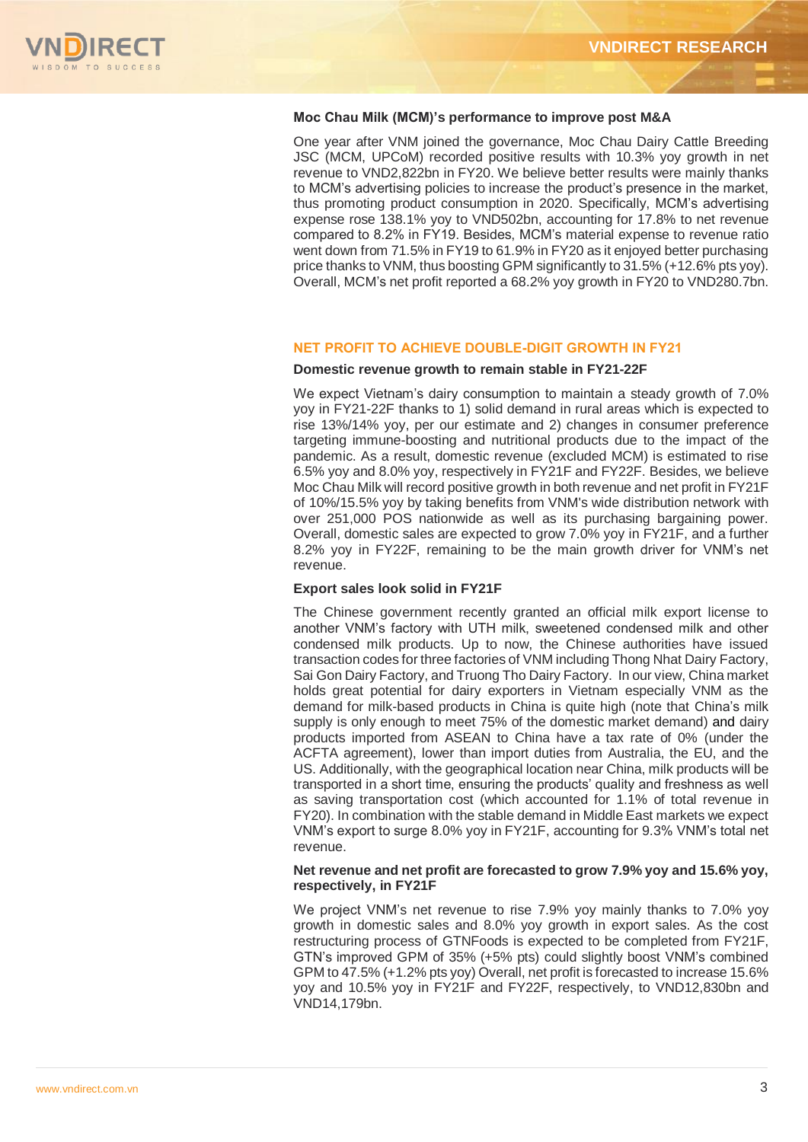

## **Moc Chau Milk (MCM)'s performance to improve post M&A**

One year after VNM joined the governance, Moc Chau Dairy Cattle Breeding JSC (MCM, UPCoM) recorded positive results with 10.3% yoy growth in net revenue to VND2,822bn in FY20. We believe better results were mainly thanks to MCM's advertising policies to increase the product's presence in the market, thus promoting product consumption in 2020. Specifically, MCM's advertising expense rose 138.1% yoy to VND502bn, accounting for 17.8% to net revenue compared to 8.2% in FY19. Besides, MCM's material expense to revenue ratio went down from 71.5% in FY19 to 61.9% in FY20 as it enjoyed better purchasing price thanks to VNM, thus boosting GPM significantly to 31.5% (+12.6% pts yoy). Overall, MCM's net profit reported a 68.2% yoy growth in FY20 to VND280.7bn.

## **NET PROFIT TO ACHIEVE DOUBLE-DIGIT GROWTH IN FY21**

## **Domestic revenue growth to remain stable in FY21-22F**

We expect Vietnam's dairy consumption to maintain a steady growth of 7.0% yoy in FY21-22F thanks to 1) solid demand in rural areas which is expected to rise 13%/14% yoy, per our estimate and 2) changes in consumer preference targeting immune-boosting and nutritional products due to the impact of the pandemic. As a result, domestic revenue (excluded MCM) is estimated to rise 6.5% yoy and 8.0% yoy, respectively in FY21F and FY22F. Besides, we believe Moc Chau Milk will record positive growth in both revenue and net profit in FY21F of 10%/15.5% yoy by taking benefits from VNM's wide distribution network with over 251,000 POS nationwide as well as its purchasing bargaining power. Overall, domestic sales are expected to grow 7.0% yoy in FY21F, and a further 8.2% yoy in FY22F, remaining to be the main growth driver for VNM's net revenue.

## **Export sales look solid in FY21F**

The Chinese government recently granted an official milk export license to another VNM's factory with UTH milk, sweetened condensed milk and other condensed milk products. Up to now, the Chinese authorities have issued transaction codes for three factories of VNM including Thong Nhat Dairy Factory, Sai Gon Dairy Factory, and Truong Tho Dairy Factory. In our view, China market holds great potential for dairy exporters in Vietnam especially VNM as the demand for milk-based products in China is quite high (note that China's milk supply is only enough to meet 75% of the domestic market demand) and dairy products imported from ASEAN to China have a tax rate of 0% (under the ACFTA agreement), lower than import duties from Australia, the EU, and the US. Additionally, with the geographical location near China, milk products will be transported in a short time, ensuring the products' quality and freshness as well as saving transportation cost (which accounted for 1.1% of total revenue in FY20). In combination with the stable demand in Middle East markets we expect VNM's export to surge 8.0% yoy in FY21F, accounting for 9.3% VNM's total net revenue.

## **Net revenue and net profit are forecasted to grow 7.9% yoy and 15.6% yoy, respectively, in FY21F**

We project VNM's net revenue to rise 7.9% yoy mainly thanks to 7.0% yoy growth in domestic sales and 8.0% yoy growth in export sales. As the cost restructuring process of GTNFoods is expected to be completed from FY21F, GTN's improved GPM of 35% (+5% pts) could slightly boost VNM's combined GPM to 47.5% (+1.2% pts yoy) Overall, net profit is forecasted to increase 15.6% yoy and 10.5% yoy in FY21F and FY22F, respectively, to VND12,830bn and VND14,179bn.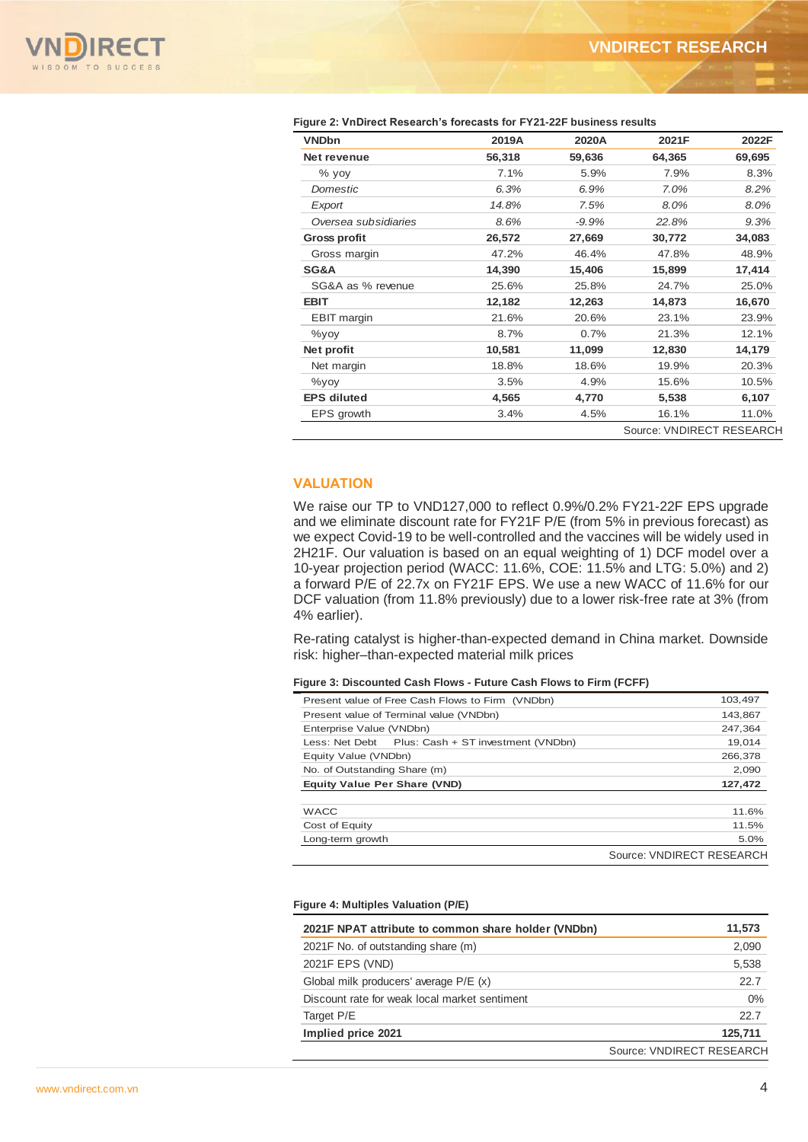

| <b>VNDbn</b>                                                                                                                                                                                                                                                                                                                                                                                                                                                                                                                                                                                                                                                                          | 2019A                              | 2020A   | 2021F                     | 2022F                            |
|---------------------------------------------------------------------------------------------------------------------------------------------------------------------------------------------------------------------------------------------------------------------------------------------------------------------------------------------------------------------------------------------------------------------------------------------------------------------------------------------------------------------------------------------------------------------------------------------------------------------------------------------------------------------------------------|------------------------------------|---------|---------------------------|----------------------------------|
| Net revenue                                                                                                                                                                                                                                                                                                                                                                                                                                                                                                                                                                                                                                                                           | 56,318                             | 59,636  | 64,365                    | 69,695                           |
| % yoy                                                                                                                                                                                                                                                                                                                                                                                                                                                                                                                                                                                                                                                                                 | 7.1%                               | 5.9%    | 7.9%                      | 8.3%                             |
| Domestic                                                                                                                                                                                                                                                                                                                                                                                                                                                                                                                                                                                                                                                                              | 6.3%                               | 6.9%    | 7.0%                      | 8.2%                             |
| Export                                                                                                                                                                                                                                                                                                                                                                                                                                                                                                                                                                                                                                                                                | 14.8%                              | 7.5%    | 8.0%                      | 8.0%                             |
| Oversea subsidiaries                                                                                                                                                                                                                                                                                                                                                                                                                                                                                                                                                                                                                                                                  | 8.6%                               | $-9.9%$ | 22.8%                     | 9.3%                             |
| <b>Gross profit</b>                                                                                                                                                                                                                                                                                                                                                                                                                                                                                                                                                                                                                                                                   | 26,572                             | 27,669  | 30,772                    | 34,083                           |
| Gross margin                                                                                                                                                                                                                                                                                                                                                                                                                                                                                                                                                                                                                                                                          | 47.2%                              | 46.4%   | 47.8%                     | 48.9%                            |
| SG&A                                                                                                                                                                                                                                                                                                                                                                                                                                                                                                                                                                                                                                                                                  | 14,390                             | 15,406  | 15,899                    | 17,414                           |
| SG&A as % revenue                                                                                                                                                                                                                                                                                                                                                                                                                                                                                                                                                                                                                                                                     | 25.6%                              | 25.8%   | 24.7%                     | 25.0%                            |
| <b>EBIT</b>                                                                                                                                                                                                                                                                                                                                                                                                                                                                                                                                                                                                                                                                           | 12,182                             | 12,263  | 14,873                    | 16,670                           |
| <b>EBIT</b> margin                                                                                                                                                                                                                                                                                                                                                                                                                                                                                                                                                                                                                                                                    | 21.6%                              | 20.6%   | 23.1%                     | 23.9%                            |
| %yoy                                                                                                                                                                                                                                                                                                                                                                                                                                                                                                                                                                                                                                                                                  | 8.7%                               | 0.7%    | 21.3%                     | 12.1%                            |
| Net profit                                                                                                                                                                                                                                                                                                                                                                                                                                                                                                                                                                                                                                                                            | 10,581                             | 11,099  | 12,830                    | 14,179                           |
| Net margin                                                                                                                                                                                                                                                                                                                                                                                                                                                                                                                                                                                                                                                                            | 18.8%                              | 18.6%   | 19.9%                     | 20.3%                            |
| %yoy                                                                                                                                                                                                                                                                                                                                                                                                                                                                                                                                                                                                                                                                                  | 3.5%                               | 4.9%    | 15.6%                     | 10.5%                            |
| <b>EPS diluted</b>                                                                                                                                                                                                                                                                                                                                                                                                                                                                                                                                                                                                                                                                    | 4,565                              | 4,770   | 5,538                     | 6,107                            |
| EPS growth                                                                                                                                                                                                                                                                                                                                                                                                                                                                                                                                                                                                                                                                            | 3.4%                               | 4.5%    | 16.1%                     | 11.0%                            |
|                                                                                                                                                                                                                                                                                                                                                                                                                                                                                                                                                                                                                                                                                       |                                    |         |                           |                                  |
|                                                                                                                                                                                                                                                                                                                                                                                                                                                                                                                                                                                                                                                                                       |                                    |         |                           |                                  |
|                                                                                                                                                                                                                                                                                                                                                                                                                                                                                                                                                                                                                                                                                       |                                    |         |                           |                                  |
| Present value of Free Cash Flows to Firm (VNDbn)                                                                                                                                                                                                                                                                                                                                                                                                                                                                                                                                                                                                                                      |                                    |         |                           | 103,497                          |
| Present value of Terminal value (VNDbn)                                                                                                                                                                                                                                                                                                                                                                                                                                                                                                                                                                                                                                               |                                    |         |                           | 143,867                          |
| Enterprise Value (VNDbn)                                                                                                                                                                                                                                                                                                                                                                                                                                                                                                                                                                                                                                                              |                                    |         |                           | 247,364                          |
| Less: Net Debt<br>Equity Value (VNDbn)                                                                                                                                                                                                                                                                                                                                                                                                                                                                                                                                                                                                                                                | Plus: Cash + ST investment (VNDbn) |         |                           | 19,014<br>266,378                |
| No. of Outstanding Share (m)                                                                                                                                                                                                                                                                                                                                                                                                                                                                                                                                                                                                                                                          |                                    |         |                           | 2,090                            |
| <b>Equity Value Per Share (VND)</b>                                                                                                                                                                                                                                                                                                                                                                                                                                                                                                                                                                                                                                                   |                                    |         |                           | 127,472                          |
|                                                                                                                                                                                                                                                                                                                                                                                                                                                                                                                                                                                                                                                                                       |                                    |         |                           |                                  |
| <b>WACC</b>                                                                                                                                                                                                                                                                                                                                                                                                                                                                                                                                                                                                                                                                           |                                    |         |                           | 11.6%                            |
| Cost of Equity                                                                                                                                                                                                                                                                                                                                                                                                                                                                                                                                                                                                                                                                        |                                    |         |                           | 11.5%                            |
| Long-term growth                                                                                                                                                                                                                                                                                                                                                                                                                                                                                                                                                                                                                                                                      |                                    |         | Source: VNDIRECT RESEARCH | 5.0%                             |
| 2021F NPAT attribute to common share holder (VNDbn)<br>2021F No. of outstanding share (m)<br>2021F EPS (VND)<br>Global milk producers' average P/E (x)                                                                                                                                                                                                                                                                                                                                                                                                                                                                                                                                |                                    |         |                           | 11,573<br>2,090<br>5,538<br>22.7 |
| Discount rate for weak local market sentiment                                                                                                                                                                                                                                                                                                                                                                                                                                                                                                                                                                                                                                         |                                    |         |                           | 0%                               |
| we expect Covid-19 to be well-controlled and the vaccines will be widely used in<br>2H21F. Our valuation is based on an equal weighting of 1) DCF model over a<br>10-year projection period (WACC: 11.6%, COE: 11.5% and LTG: 5.0%) and 2)<br>a forward P/E of 22.7x on FY21F EPS. We use a new WACC of 11.6% for our<br>DCF valuation (from 11.8% previously) due to a lower risk-free rate at 3% (from<br>4% earlier).<br>Re-rating catalyst is higher-than-expected demand in China market. Downside<br>risk: higher-than-expected material milk prices<br>Figure 3: Discounted Cash Flows - Future Cash Flows to Firm (FCFF)<br>Figure 4: Multiples Valuation (P/E)<br>Target P/E |                                    |         |                           | 22.7                             |

#### **Figure 2: VnDirect Research's forecasts for FY21-22F business results**

## **VALUATION**

#### **Figure 3: Discounted Cash Flows - Future Cash Flows to Firm (FCFF)**

| Present value of Free Cash Flows to Firm (VNDbn)  | 103.497                   |
|---------------------------------------------------|---------------------------|
| Present value of Terminal value (VNDbn)           | 143,867                   |
| Enterprise Value (VNDbn)                          | 247.364                   |
| Less: Net Debt Plus: Cash + ST investment (VNDbn) | 19.014                    |
| Equity Value (VNDbn)                              | 266.378                   |
| No. of Outstanding Share (m)                      | 2,090                     |
| <b>Equity Value Per Share (VND)</b>               | 127,472                   |
|                                                   |                           |
| <b>WACC</b>                                       | 11.6%                     |
| Cost of Equity                                    | 11.5%                     |
| Long-term growth                                  | 5.0%                      |
|                                                   | Source: VNDIRECT RESEARCH |

#### **Figure 4: Multiples Valuation (P/E)**

| 2021F NPAT attribute to common share holder (VNDbn) | 11,573                    |
|-----------------------------------------------------|---------------------------|
| 2021F No. of outstanding share (m)                  | 2,090                     |
| 2021F EPS (VND)                                     | 5,538                     |
| Global milk producers' average P/E (x)              | 22.7                      |
| Discount rate for weak local market sentiment       | $0\%$                     |
| Target P/E                                          | 22.7                      |
| Implied price 2021                                  | 125.711                   |
|                                                     | Source: VNDIRECT RESEARCH |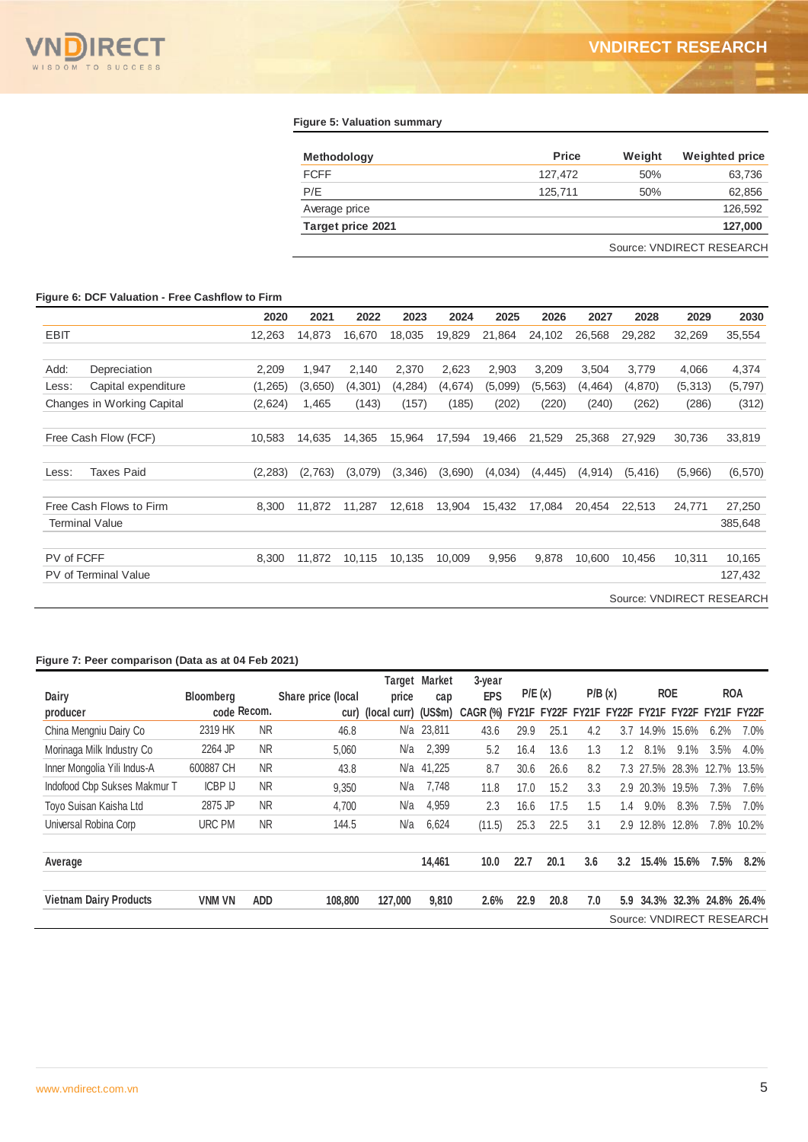

## **Figure 5: Valuation summary**

| <b>Methodology</b> | <b>Price</b> | Weight | <b>Weighted price</b>     |
|--------------------|--------------|--------|---------------------------|
| <b>FCFF</b>        | 127.472      | 50%    | 63,736                    |
| P/E                | 125.711      | 50%    | 62,856                    |
| Average price      |              |        | 126.592                   |
| Target price 2021  |              |        | 127,000                   |
|                    |              |        | Source: VNDIRECT RESEARCH |

# **Figure 6: DCF Valuation - Free Cashflow to Firm**

|             |                             | 2020     | 2021    | 2022     | 2023    | 2024    | 2025    | 2026     | 2027     | 2028     | 2029     | 2030                      |
|-------------|-----------------------------|----------|---------|----------|---------|---------|---------|----------|----------|----------|----------|---------------------------|
| <b>EBIT</b> |                             | 12,263   | 14,873  | 16,670   | 18,035  | 19,829  | 21,864  | 24,102   | 26,568   | 29.282   | 32,269   | 35,554                    |
|             |                             |          |         |          |         |         |         |          |          |          |          |                           |
| Add:        | Depreciation                | 2,209    | 1,947   | 2,140    | 2,370   | 2,623   | 2,903   | 3,209    | 3,504    | 3,779    | 4,066    | 4,374                     |
| Less:       | Capital expenditure         | (1,265)  | (3,650) | (4, 301) | (4,284) | (4,674) | (5,099) | (5, 563) | (4, 464) | (4,870)  | (5, 313) | (5,797)                   |
|             | Changes in Working Capital  | (2,624)  | 1,465   | (143)    | (157)   | (185)   | (202)   | (220)    | (240)    | (262)    | (286)    | (312)                     |
|             |                             |          |         |          |         |         |         |          |          |          |          |                           |
|             | Free Cash Flow (FCF)        | 10,583   | 14,635  | 14,365   | 15,964  | 17,594  | 19,466  | 21,529   | 25,368   | 27,929   | 30,736   | 33,819                    |
|             |                             |          |         |          |         |         |         |          |          |          |          |                           |
| Less:       | <b>Taxes Paid</b>           | (2, 283) | (2,763) | (3,079)  | (3,346) | (3,690) | (4,034) | (4, 445) | (4, 914) | (5, 416) | (5,966)  | (6, 570)                  |
|             |                             |          |         |          |         |         |         |          |          |          |          |                           |
|             | Free Cash Flows to Firm     | 8,300    | 11,872  | 11,287   | 12,618  | 13,904  | 15,432  | 17,084   | 20,454   | 22,513   | 24,771   | 27,250                    |
|             | <b>Terminal Value</b>       |          |         |          |         |         |         |          |          |          |          | 385,648                   |
| PV of FCFF  |                             | 8,300    | 11,872  | 10,115   | 10,135  | 10,009  | 9,956   | 9,878    | 10,600   | 10,456   | 10,311   | 10,165                    |
|             | <b>PV</b> of Terminal Value |          |         |          |         |         |         |          |          |          |          | 127,432                   |
|             |                             |          |         |          |         |         |         |          |          |          |          | Source: VNDIRECT RESEARCH |

## **Figure 7: Peer comparison (Data as at 04 Feb 2021)**

|                               |                  |            |                    |                           | <b>Target Market</b> | $3$ -year  |       |        |             |     |             |             |                         |                           |
|-------------------------------|------------------|------------|--------------------|---------------------------|----------------------|------------|-------|--------|-------------|-----|-------------|-------------|-------------------------|---------------------------|
| Dairy                         | <b>Bloomberg</b> |            | Share price (local | price                     | cap                  | <b>EPS</b> |       | P/E(x) | P/B(x)      |     | <b>ROE</b>  |             | <b>ROA</b>              |                           |
| producer                      | code Recom.      |            |                    | cur) (local curr) (US\$m) |                      | CAGR (%)   | FY21F | FY22F  | FY21F FY22F |     |             |             | FY21F FY22F FY21F FY22F |                           |
| China Mengniu Dairy Co        | 2319 HK          | <b>NR</b>  | 46.8               |                           | N/a 23,811           | 43.6       | 29.9  | 25.1   | 4.2         | 3.7 | 14.9%       | 15.6%       | 6.2%                    | 7.0%                      |
| Morinaga Milk Industry Co     | 2264 JP          | <b>NR</b>  | 5,060              | N/a                       | 2,399                | 5.2        | 16.4  | 13.6   | 1.3         | 1.2 | 8.1%        | 9.1%        | 3.5%                    | 4.0%                      |
| Inner Mongolia Yili Indus-A   | 600887 CH        | <b>NR</b>  | 43.8               | N/a                       | 41,225               | 8.7        | 30.6  | 26.6   | 8.2         | 7.3 | 27.5% 28.3% |             | 12.7%                   | 13.5%                     |
| Indofood Cbp Sukses Makmur T  | <b>ICBP IJ</b>   | <b>NR</b>  | 9,350              | N/a                       | 7,748                | 11.8       | 17.0  | 15.2   | 3.3         |     | $2.9$ 20.3% | 19.5%       | 7.3%                    | 7.6%                      |
| Toyo Suisan Kaisha Ltd        | 2875 JP          | <b>NR</b>  | 4,700              | N/a                       | 4,959                | 2.3        | 16.6  | 17.5   | 1.5         | 1.4 | $9.0\%$     | 8.3%        | 7.5%                    | 7.0%                      |
| Universal Robina Corp         | URC PM           | <b>NR</b>  | 144.5              | N/a                       | 6,624                | (11.5)     | 25.3  | 22.5   | 3.1         | 2.9 |             | 12.8% 12.8% | 7.8%                    | 10.2%                     |
| Average                       |                  |            |                    |                           | 14,461               | 10.0       | 22.7  | 20.1   | 3.6         | 3.2 | 15.4%       | 15.6%       | 7.5%                    | 8.2%                      |
| <b>Vietnam Dairy Products</b> | <b>VNM VN</b>    | <b>ADD</b> | 108,800            | 127,000                   | 9,810                | 2.6%       | 22.9  | 20.8   | 7.0         | 5.9 |             |             |                         | 34.3% 32.3% 24.8% 26.4%   |
|                               |                  |            |                    |                           |                      |            |       |        |             |     |             |             |                         | Source: VNDIRECT RESEARCH |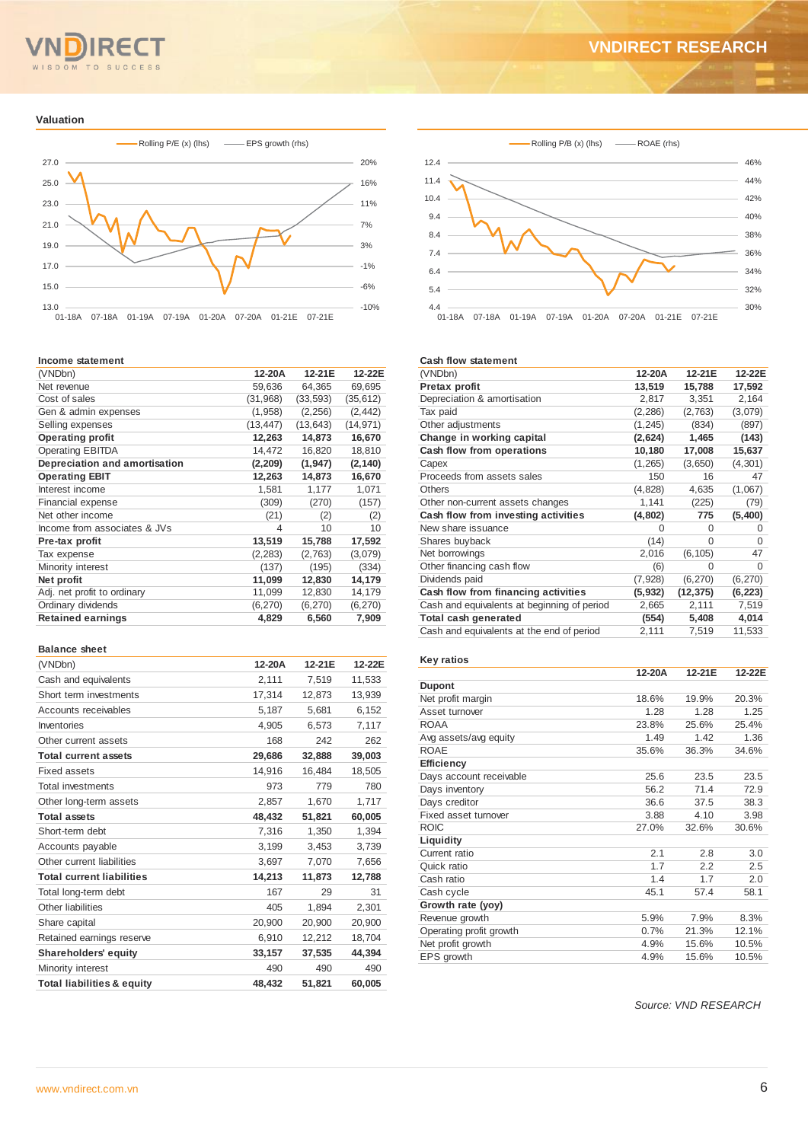## TO **SUCCESS**

### **Valuation**



#### **Income statement**

| (VNDbn)                       | 12-20A    | 12-21E    | 12-22E    |
|-------------------------------|-----------|-----------|-----------|
| Net revenue                   | 59,636    | 64,365    | 69,695    |
| Cost of sales                 | (31,968)  | (33, 593) | (35, 612) |
| Gen & admin expenses          | (1,958)   | (2, 256)  | (2, 442)  |
| Selling expenses              | (13, 447) | (13, 643) | (14, 971) |
| <b>Operating profit</b>       | 12,263    | 14,873    | 16,670    |
| <b>Operating EBITDA</b>       | 14,472    | 16,820    | 18,810    |
| Depreciation and amortisation | (2, 209)  | (1, 947)  | (2, 140)  |
| <b>Operating EBIT</b>         | 12,263    | 14,873    | 16,670    |
| Interest income               | 1,581     | 1,177     | 1,071     |
| Financial expense             | (309)     | (270)     | (157)     |
| Net other income              | (21)      | (2)       | (2)       |
| Income from associates & JVs  | 4         | 10        | 10        |
| Pre-tax profit                | 13,519    | 15,788    | 17,592    |
| Tax expense                   | (2, 283)  | (2,763)   | (3,079)   |
| Minority interest             | (137)     | (195)     | (334)     |
| Net profit                    | 11,099    | 12,830    | 14,179    |
| Adj. net profit to ordinary   | 11,099    | 12,830    | 14,179    |
| Ordinary dividends            | (6, 270)  | (6, 270)  | (6, 270)  |
| <b>Retained earnings</b>      | 4,829     | 6,560     | 7,909     |
|                               |           |           |           |

### **Balance sheet**

| (VNDbn)                               | 12-20A | 12-21E | 12-22E |
|---------------------------------------|--------|--------|--------|
| Cash and equivalents                  | 2,111  | 7,519  | 11,533 |
| Short term investments                | 17,314 | 12,873 | 13,939 |
| Accounts receivables                  | 5.187  | 5.681  | 6.152  |
| Inventories                           | 4,905  | 6,573  | 7,117  |
| Other current assets                  | 168    | 242    | 262    |
| <b>Total current assets</b>           | 29,686 | 32,888 | 39,003 |
| Fixed assets                          | 14,916 | 16,484 | 18,505 |
| <b>Total investments</b>              | 973    | 779    | 780    |
| Other long-term assets                | 2,857  | 1.670  | 1,717  |
| <b>Total assets</b>                   | 48.432 | 51,821 | 60,005 |
| Short-term debt                       | 7,316  | 1,350  | 1,394  |
| Accounts payable                      | 3,199  | 3,453  | 3,739  |
| Other current liabilities             | 3,697  | 7,070  | 7,656  |
| <b>Total current liabilities</b>      | 14,213 | 11,873 | 12,788 |
| Total long-term debt                  | 167    | 29     | 31     |
| Other liabilities                     | 405    | 1.894  | 2,301  |
| Share capital                         | 20,900 | 20,900 | 20,900 |
| Retained earnings reserve             | 6,910  | 12,212 | 18,704 |
| <b>Shareholders' equity</b>           | 33,157 | 37,535 | 44,394 |
| Minority interest                     | 490    | 490    | 490    |
| <b>Total liabilities &amp; equity</b> | 48.432 | 51.821 | 60,005 |





#### **Cash flow statement**

| (VNDbn)                                     | 12-20A   | 12-21E    | 12-22E   |
|---------------------------------------------|----------|-----------|----------|
| Pretax profit                               | 13,519   | 15,788    | 17,592   |
| Depreciation & amortisation                 | 2,817    | 3,351     | 2,164    |
| Tax paid                                    | (2, 286) | (2,763)   | (3,079)  |
| Other adjustments                           | (1, 245) | (834)     | (897)    |
| Change in working capital                   | (2,624)  | 1,465     | (143)    |
| Cash flow from operations                   | 10,180   | 17,008    | 15,637   |
| Capex                                       | (1, 265) | (3,650)   | (4, 301) |
| Proceeds from assets sales                  | 150      | 16        | 47       |
| Others                                      | (4,828)  | 4,635     | (1,067)  |
| Other non-current assets changes            | 1,141    | (225)     | (79)     |
| Cash flow from investing activities         | (4,802)  | 775       | (5,400)  |
| New share issuance                          | O        | 0         | $\Omega$ |
| Shares buyback                              | (14)     | $\Omega$  | $\Omega$ |
| Net borrowings                              | 2,016    | (6, 105)  | 47       |
| Other financing cash flow                   | (6)      | O         | $\Omega$ |
| Dividends paid                              | (7, 928) | (6, 270)  | (6, 270) |
| Cash flow from financing activities         | (5, 932) | (12, 375) | (6, 223) |
| Cash and equivalents at beginning of period | 2,665    | 2,111     | 7,519    |
| Total cash generated                        | (554)    | 5,408     | 4,014    |
| Cash and equivalents at the end of period   | 2,111    | 7,519     | 11,533   |

## **Key ratios**

|                         | 12-20A | 12-21E | 12-22E |
|-------------------------|--------|--------|--------|
| <b>Dupont</b>           |        |        |        |
| Net profit margin       | 18.6%  | 19.9%  | 20.3%  |
| Asset turnover          | 1.28   | 1.28   | 1.25   |
| ROAA                    | 23.8%  | 25.6%  | 25.4%  |
| Avg assets/avg equity   | 1.49   | 1.42   | 1.36   |
| <b>ROAE</b>             | 35.6%  | 36.3%  | 34.6%  |
| <b>Efficiency</b>       |        |        |        |
| Days account receivable | 25.6   | 23.5   | 23.5   |
| Days inventory          | 56.2   | 71.4   | 72.9   |
| Days creditor           | 36.6   | 37.5   | 38.3   |
| Fixed asset turnover    | 3.88   | 4.10   | 3.98   |
| <b>ROIC</b>             | 27.0%  | 32.6%  | 30.6%  |
| Liquidity               |        |        |        |
| Current ratio           | 2.1    | 2.8    | 3.0    |
| Quick ratio             | 1.7    | 2.2    | 2.5    |
| Cash ratio              | 1.4    | 1.7    | 2.0    |
| Cash cycle              | 45.1   | 57.4   | 58.1   |
| Growth rate (yoy)       |        |        |        |
| Revenue growth          | 5.9%   | 7.9%   | 8.3%   |
| Operating profit growth | 0.7%   | 21.3%  | 12.1%  |
| Net profit growth       | 4.9%   | 15.6%  | 10.5%  |
| EPS growth              | 4.9%   | 15.6%  | 10.5%  |

*Source: VND RESEARCH*